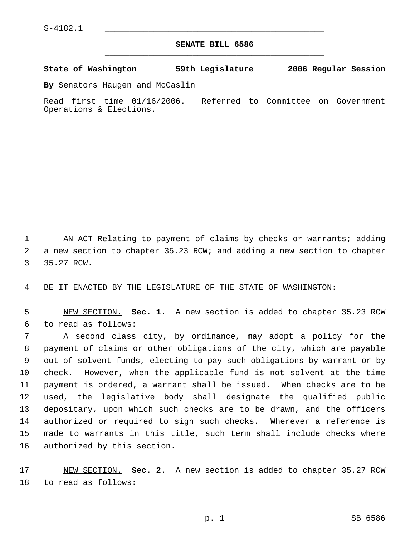## **SENATE BILL 6586** \_\_\_\_\_\_\_\_\_\_\_\_\_\_\_\_\_\_\_\_\_\_\_\_\_\_\_\_\_\_\_\_\_\_\_\_\_\_\_\_\_\_\_\_\_

**State of Washington 59th Legislature 2006 Regular Session**

**By** Senators Haugen and McCaslin

Read first time 01/16/2006. Referred to Committee on Government Operations & Elections.

 AN ACT Relating to payment of claims by checks or warrants; adding a new section to chapter 35.23 RCW; and adding a new section to chapter 35.27 RCW.

BE IT ENACTED BY THE LEGISLATURE OF THE STATE OF WASHINGTON:

 NEW SECTION. **Sec. 1.** A new section is added to chapter 35.23 RCW to read as follows:

 A second class city, by ordinance, may adopt a policy for the payment of claims or other obligations of the city, which are payable out of solvent funds, electing to pay such obligations by warrant or by check. However, when the applicable fund is not solvent at the time payment is ordered, a warrant shall be issued. When checks are to be used, the legislative body shall designate the qualified public depositary, upon which such checks are to be drawn, and the officers authorized or required to sign such checks. Wherever a reference is made to warrants in this title, such term shall include checks where authorized by this section.

 NEW SECTION. **Sec. 2.** A new section is added to chapter 35.27 RCW to read as follows: